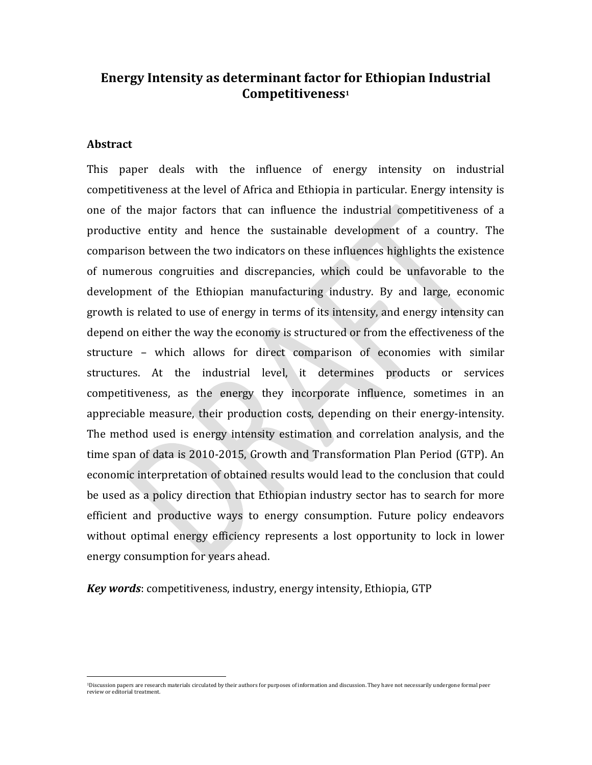### **Energy Intensity as determinant factor for Ethiopian Industrial Competitiveness1**

#### **Abstract**

This paper deals with the influence of energy intensity on industrial competitiveness at the level of Africa and Ethiopia in particular. Energy intensity is one of the major factors that can influence the industrial competitiveness of a productive entity and hence the sustainable development of a country. The comparison between the two indicators on these influences highlights the existence of numerous congruities and discrepancies, which could be unfavorable to the development of the Ethiopian manufacturing industry. By and large, economic growth is related to use of energy in terms of its intensity, and energy intensity can depend on either the way the economy is structured or from the effectiveness of the structure - which allows for direct comparison of economies with similar structures. At the industrial level, it determines products or services competitiveness, as the energy they incorporate influence, sometimes in an appreciable measure, their production costs, depending on their energy-intensity. The method used is energy intensity estimation and correlation analysis, and the time span of data is 2010-2015, Growth and Transformation Plan Period (GTP). An economic interpretation of obtained results would lead to the conclusion that could be used as a policy direction that Ethiopian industry sector has to search for more efficient and productive ways to energy consumption. Future policy endeavors without optimal energy efficiency represents a lost opportunity to lock in lower energy consumption for years ahead.

*Key words:* competitiveness, industry, energy intensity, Ethiopia, GTP

<sup>.&</sup>lt;br>• Discussion papers are research materials circulated by their authors for purposes of information and discussion. They have not necessarily undergone formal peer review or editorial treatment.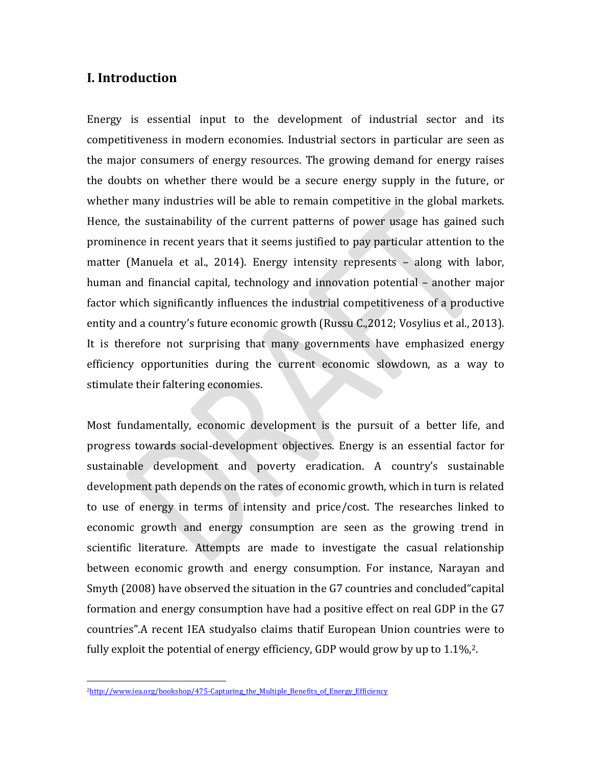## **I.** Introduction

Energy is essential input to the development of industrial sector and its competitiveness in modern economies. Industrial sectors in particular are seen as the major consumers of energy resources. The growing demand for energy raises the doubts on whether there would be a secure energy supply in the future, or whether many industries will be able to remain competitive in the global markets. Hence, the sustainability of the current patterns of power usage has gained such prominence in recent years that it seems justified to pay particular attention to the matter (Manuela et al., 2014). Energy intensity represents – along with labor, human and financial capital, technology and innovation potential - another major factor which significantly influences the industrial competitiveness of a productive entity and a country's future economic growth (Russu C.,2012; Vosylius et al., 2013). It is therefore not surprising that many governments have emphasized energy efficiency opportunities during the current economic slowdown, as a way to stimulate their faltering economies.

Most fundamentally, economic development is the pursuit of a better life, and progress towards social-development objectives. Energy is an essential factor for sustainable development and poverty eradication. A country's sustainable development path depends on the rates of economic growth, which in turn is related to use of energy in terms of intensity and price/cost. The researches linked to economic growth and energy consumption are seen as the growing trend in scientific literature. Attempts are made to investigate the casual relationship between economic growth and energy consumption. For instance, Narayan and Smyth (2008) have observed the situation in the G7 countries and concluded capital formation and energy consumption have had a positive effect on real GDP in the G7 countries". A recent IEA studyalso claims thatif European Union countries were to fully exploit the potential of energy efficiency, GDP would grow by up to  $1.1\%,2$ .

 

<sup>2</sup>http://www.iea.org/bookshop/475-Capturing\_the\_Multiple\_Benefits\_of\_Energy\_Efficiency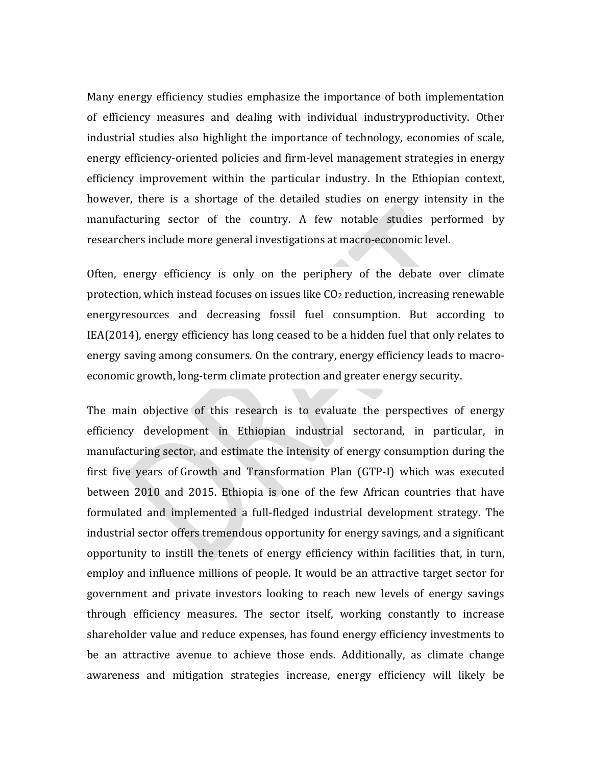Many energy efficiency studies emphasize the importance of both implementation of efficiency measures and dealing with individual industryproductivity. Other industrial studies also highlight the importance of technology, economies of scale, energy efficiency-oriented policies and firm-level management strategies in energy efficiency improvement within the particular industry. In the Ethiopian context, however, there is a shortage of the detailed studies on energy intensity in the manufacturing sector of the country. A few notable studies performed by researchers include more general investigations at macro-economic level.

Often, energy efficiency is only on the periphery of the debate over climate protection, which instead focuses on issues like  $CO<sub>2</sub>$  reduction, increasing renewable energyresources and decreasing fossil fuel consumption. But according to  $IEA(2014)$ , energy efficiency has long ceased to be a hidden fuel that only relates to energy saving among consumers. On the contrary, energy efficiency leads to macroeconomic growth, long-term climate protection and greater energy security.

The main objective of this research is to evaluate the perspectives of energy efficiency development in Ethiopian industrial sectorand, in particular, in manufacturing sector, and estimate the intensity of energy consumption during the first five years of Growth and Transformation Plan (GTP-I) which was executed between 2010 and 2015. Ethiopia is one of the few African countries that have formulated and implemented a full-fledged industrial development strategy. The industrial sector offers tremendous opportunity for energy savings, and a significant opportunity to instill the tenets of energy efficiency within facilities that, in turn, employ and influence millions of people. It would be an attractive target sector for government and private investors looking to reach new levels of energy savings through efficiency measures. The sector itself, working constantly to increase shareholder value and reduce expenses, has found energy efficiency investments to be an attractive avenue to achieve those ends. Additionally, as climate change awareness and mitigation strategies increase, energy efficiency will likely be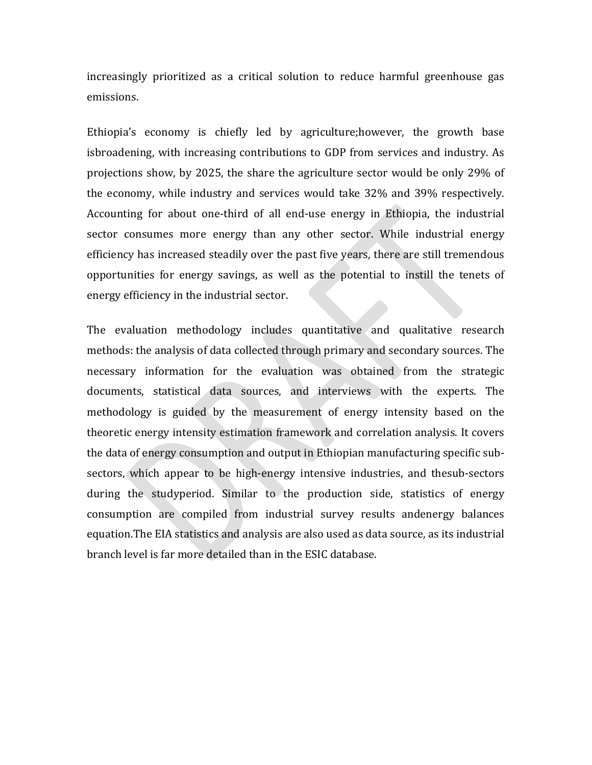increasingly prioritized as a critical solution to reduce harmful greenhouse gas emissions.

Ethiopia's economy is chiefly led by agriculture;however, the growth base isbroadening, with increasing contributions to GDP from services and industry. As projections show, by 2025, the share the agriculture sector would be only 29% of the economy, while industry and services would take  $32\%$  and  $39\%$  respectively. Accounting for about one-third of all end-use energy in Ethiopia, the industrial sector consumes more energy than any other sector. While industrial energy efficiency has increased steadily over the past five years, there are still tremendous opportunities for energy savings, as well as the potential to instill the tenets of energy efficiency in the industrial sector.

The evaluation methodology includes quantitative and qualitative research methods: the analysis of data collected through primary and secondary sources. The necessary information for the evaluation was obtained from the strategic documents, statistical data sources, and interviews with the experts. The methodology is guided by the measurement of energy intensity based on the theoretic energy intensity estimation framework and correlation analysis. It covers the data of energy consumption and output in Ethiopian manufacturing specific subsectors, which appear to be high-energy intensive industries, and thesub-sectors during the studyperiod. Similar to the production side, statistics of energy consumption are compiled from industrial survey results andenergy balances equation. The EIA statistics and analysis are also used as data source, as its industrial branch level is far more detailed than in the ESIC database.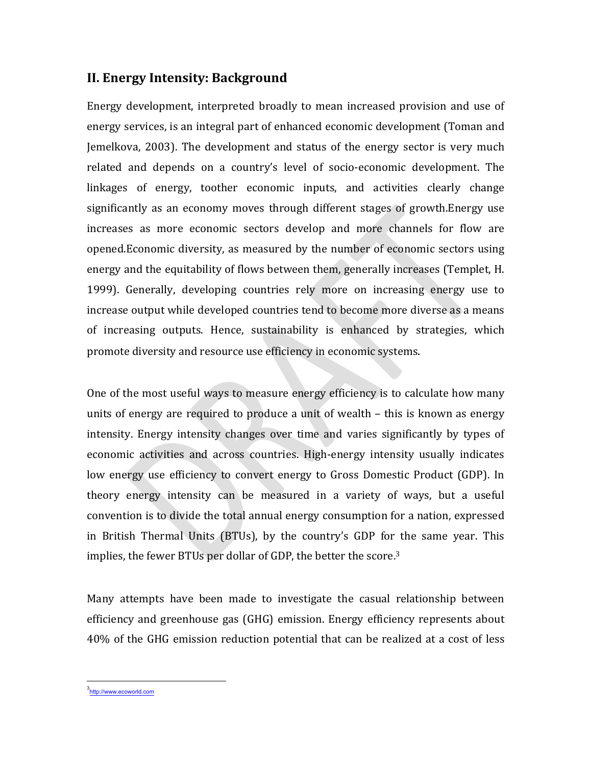# **II. Energy Intensity: Background**

Energy development, interpreted broadly to mean increased provision and use of energy services, is an integral part of enhanced economic development (Toman and Jemelkova, 2003). The development and status of the energy sector is very much related and depends on a country's level of socio-economic development. The linkages of energy, toother economic inputs, and activities clearly change significantly as an economy moves through different stages of growth.Energy use increases as more economic sectors develop and more channels for flow are opened. Economic diversity, as measured by the number of economic sectors using energy and the equitability of flows between them, generally increases (Templet, H. 1999). Generally, developing countries rely more on increasing energy use to increase output while developed countries tend to become more diverse as a means of increasing outputs. Hence, sustainability is enhanced by strategies, which promote diversity and resource use efficiency in economic systems.

One of the most useful ways to measure energy efficiency is to calculate how many units of energy are required to produce a unit of wealth  $-$  this is known as energy intensity. Energy intensity changes over time and varies significantly by types of economic activities and across countries. High-energy intensity usually indicates low energy use efficiency to convert energy to Gross Domestic Product (GDP). In theory energy intensity can be measured in a variety of ways, but a useful convention is to divide the total annual energy consumption for a nation, expressed in British Thermal Units (BTUs), by the country's GDP for the same year. This implies, the fewer BTUs per dollar of GDP, the better the score.<sup>3</sup>

Many attempts have been made to investigate the casual relationship between efficiency and greenhouse gas (GHG) emission. Energy efficiency represents about 40% of the GHG emission reduction potential that can be realized at a cost of less

 3<br>http://www.ecoworld.com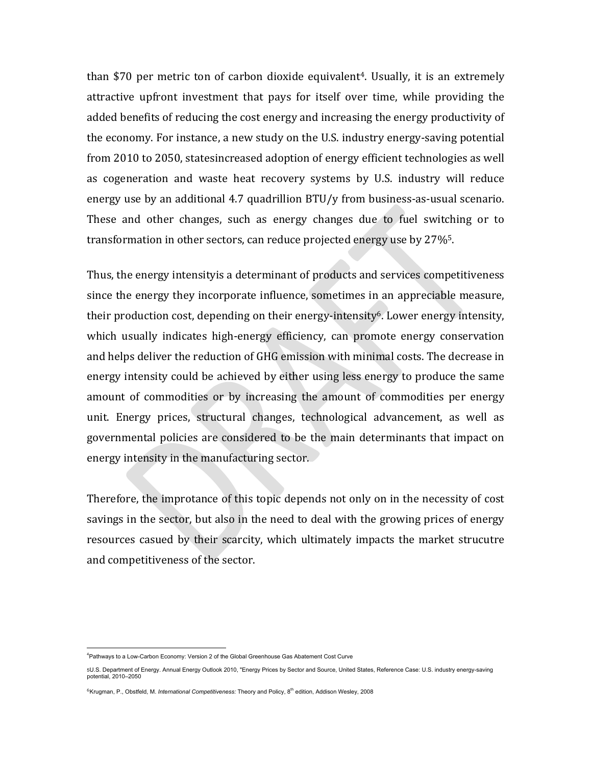than \$70 per metric ton of carbon dioxide equivalent<sup>4</sup>. Usually, it is an extremely attractive upfront investment that pays for itself over time, while providing the added benefits of reducing the cost energy and increasing the energy productivity of the economy. For instance, a new study on the U.S. industry energy-saving potential from 2010 to 2050, statesincreased adoption of energy efficient technologies as well as cogeneration and waste heat recovery systems by U.S. industry will reduce energy use by an additional 4.7 quadrillion  $BTU/y$  from business-as-usual scenario. These and other changes, such as energy changes due to fuel switching or to transformation in other sectors, can reduce projected energy use by  $27\%$ <sup>5</sup>.

Thus, the energy intensityis a determinant of products and services competitiveness since the energy they incorporate influence, sometimes in an appreciable measure, their production cost, depending on their energy-intensity<sup>6</sup>. Lower energy intensity, which usually indicates high-energy efficiency, can promote energy conservation and helps deliver the reduction of GHG emission with minimal costs. The decrease in energy intensity could be achieved by either using less energy to produce the same amount of commodities or by increasing the amount of commodities per energy unit. Energy prices, structural changes, technological advancement, as well as governmental policies are considered to be the main determinants that impact on energy intensity in the manufacturing sector.

Therefore, the improtance of this topic depends not only on in the necessity of cost savings in the sector, but also in the need to deal with the growing prices of energy resources casued by their scarcity, which ultimately impacts the market strucutre and competitiveness of the sector.

 <sup>4</sup> Pathways to a Low-Carbon Economy: Version 2 of the Global Greenhouse Gas Abatement Cost Curve

<sup>5</sup>U.S. Department of Energy. Annual Energy Outlook 2010, "Energy Prices by Sector and Source, United States, Reference Case: U.S. industry energy-saving potential, 2010–2050

<sup>6</sup>Krugman, P., Obstfeld, M. *International Competitiveness:* Theory and Policy, 8th edition, Addison Wesley, 2008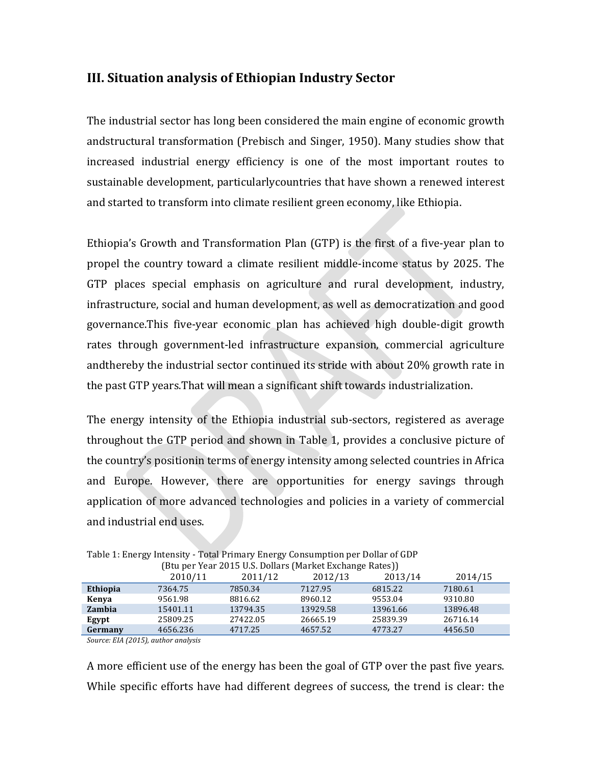## **III. Situation analysis of Ethiopian Industry Sector**

The industrial sector has long been considered the main engine of economic growth andstructural transformation (Prebisch and Singer, 1950). Many studies show that increased industrial energy efficiency is one of the most important routes to sustainable development, particularlycountries that have shown a renewed interest and started to transform into climate resilient green economy, like Ethiopia.

Ethiopia's Growth and Transformation Plan (GTP) is the first of a five-year plan to propel the country toward a climate resilient middle-income status by 2025. The GTP places special emphasis on agriculture and rural development, industry, infrastructure, social and human development, as well as democratization and good governance.This five-year economic plan has achieved high double-digit growth rates through government-led infrastructure expansion, commercial agriculture andthereby the industrial sector continued its stride with about 20% growth rate in the past GTP years. That will mean a significant shift towards industrialization.

The energy intensity of the Ethiopia industrial sub-sectors, registered as average throughout the GTP period and shown in Table 1, provides a conclusive picture of the country's positionin terms of energy intensity among selected countries in Africa and Europe. However, there are opportunities for energy savings through application of more advanced technologies and policies in a variety of commercial and industrial end uses.

|               | TDtu për Tear 2015 0.5. Donars finarkët Extitalisë Katës (f |          |          |          |          |
|---------------|-------------------------------------------------------------|----------|----------|----------|----------|
|               | 2010/11                                                     | 2011/12  | 2012/13  | 2013/14  | 2014/15  |
| Ethiopia      | 7364.75                                                     | 7850.34  | 7127.95  | 6815.22  | 7180.61  |
| Kenva         | 9561.98                                                     | 8816.62  | 8960.12  | 9553.04  | 9310.80  |
| <b>Zambia</b> | 15401.11                                                    | 13794.35 | 13929.58 | 13961.66 | 13896.48 |
| Egypt         | 25809.25                                                    | 27422.05 | 26665.19 | 25839.39 | 26716.14 |
| Germany       | 4656.236                                                    | 4717.25  | 4657.52  | 4773.27  | 4456.50  |
|               |                                                             |          |          |          |          |

Table 1: Energy Intensity - Total Primary Energy Consumption per Dollar of GDP  $(Rt)$ u per Year  $2015$  U.S. Dollars (Market Exchange Rates))

Source: EIA (2015), author analysis

A more efficient use of the energy has been the goal of GTP over the past five years. While specific efforts have had different degrees of success, the trend is clear: the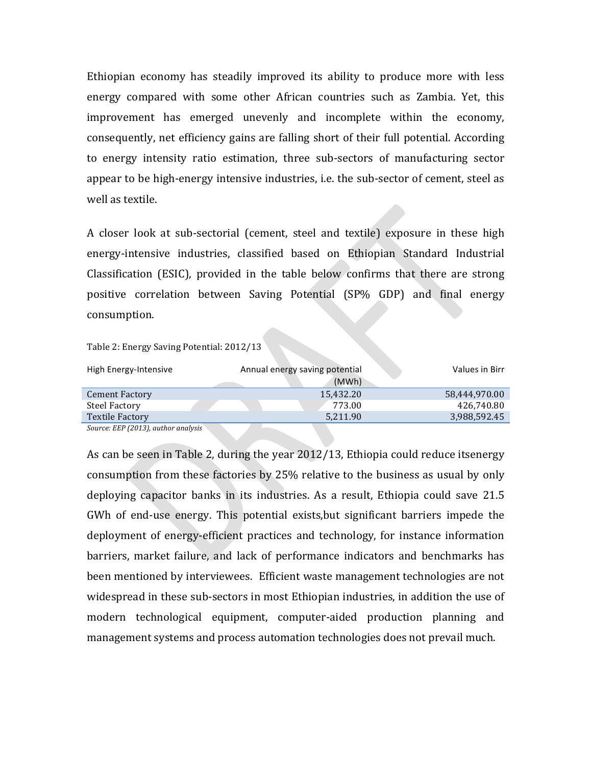Ethiopian economy has steadily improved its ability to produce more with less energy compared with some other African countries such as Zambia. Yet, this improvement has emerged unevenly and incomplete within the economy, consequently, net efficiency gains are falling short of their full potential. According to energy intensity ratio estimation, three sub-sectors of manufacturing sector appear to be high-energy intensive industries, i.e. the sub-sector of cement, steel as well as textile.

A closer look at sub-sectorial (cement, steel and textile) exposure in these high energy-intensive industries, classified based on Ethiopian Standard Industrial Classification (ESIC), provided in the table below confirms that there are strong positive correlation between Saving Potential (SP% GDP) and final energy consumption. 

Table 2: Energy Saving Potential: 2012/13

| High Energy-Intensive                                           | Annual energy saving potential |           | Values in Birr |
|-----------------------------------------------------------------|--------------------------------|-----------|----------------|
|                                                                 |                                | (MWh)     |                |
| <b>Cement Factory</b>                                           |                                | 15.432.20 | 58.444.970.00  |
| Steel Factory                                                   |                                | 773.00    | 426,740.80     |
| Textile Factory                                                 |                                | 5,211.90  | 3,988,592.45   |
| P P P P Q Q Q Q Q Q<br>$\cdot$ $\cdot$ $\cdot$<br>$\sim$ $\sim$ |                                |           |                |

Source: EEP (2013), author analysis

As can be seen in Table 2, during the year 2012/13, Ethiopia could reduce itsenergy consumption from these factories by 25% relative to the business as usual by only deploying capacitor banks in its industries. As a result, Ethiopia could save 21.5 GWh of end-use energy. This potential exists, but significant barriers impede the deployment of energy-efficient practices and technology, for instance information barriers, market failure, and lack of performance indicators and benchmarks has been mentioned by interviewees. Efficient waste management technologies are not widespread in these sub-sectors in most Ethiopian industries, in addition the use of modern technological equipment, computer-aided production planning and management systems and process automation technologies does not prevail much.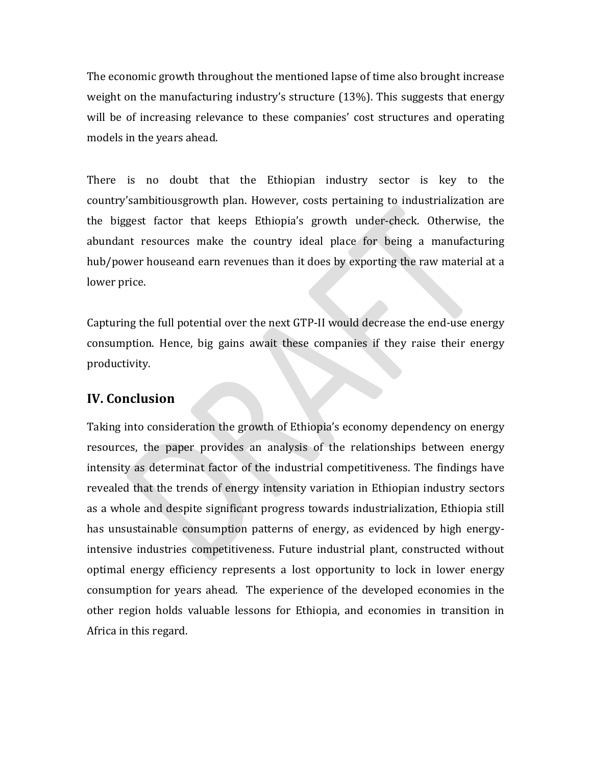The economic growth throughout the mentioned lapse of time also brought increase weight on the manufacturing industry's structure  $(13\%)$ . This suggests that energy will be of increasing relevance to these companies' cost structures and operating models in the years ahead.

There is no doubt that the Ethiopian industry sector is key to the country'sambitiousgrowth plan. However, costs pertaining to industrialization are the biggest factor that keeps Ethiopia's growth under-check. Otherwise, the abundant resources make the country ideal place for being a manufacturing hub/power houseand earn revenues than it does by exporting the raw material at a lower price.

Capturing the full potential over the next GTP-II would decrease the end-use energy consumption. Hence, big gains await these companies if they raise their energy productivity. 

## **IV.** Conclusion

Taking into consideration the growth of Ethiopia's economy dependency on energy resources, the paper provides an analysis of the relationships between energy intensity as determinat factor of the industrial competitiveness. The findings have revealed that the trends of energy intensity variation in Ethiopian industry sectors as a whole and despite significant progress towards industrialization, Ethiopia still has unsustainable consumption patterns of energy, as evidenced by high energyintensive industries competitiveness. Future industrial plant, constructed without optimal energy efficiency represents a lost opportunity to lock in lower energy consumption for years ahead. The experience of the developed economies in the other region holds valuable lessons for Ethiopia, and economies in transition in Africa in this regard.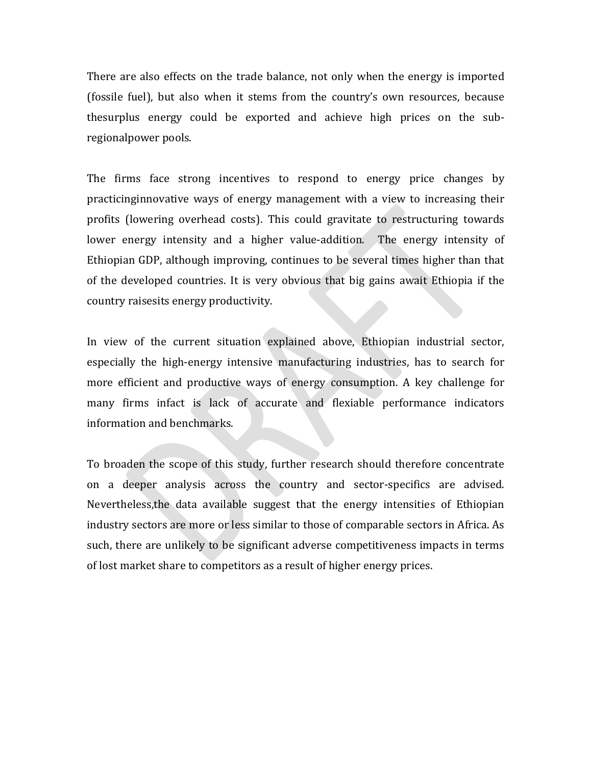There are also effects on the trade balance, not only when the energy is imported (fossile fuel), but also when it stems from the country's own resources, because thesurplus energy could be exported and achieve high prices on the subregionalpower pools.

The firms face strong incentives to respond to energy price changes by practicinginnovative ways of energy management with a view to increasing their profits (lowering overhead costs). This could gravitate to restructuring towards lower energy intensity and a higher value-addition. The energy intensity of Ethiopian GDP, although improving, continues to be several times higher than that of the developed countries. It is very obvious that big gains await Ethiopia if the country raisesits energy productivity.

In view of the current situation explained above, Ethiopian industrial sector, especially the high-energy intensive manufacturing industries, has to search for more efficient and productive ways of energy consumption. A key challenge for many firms infact is lack of accurate and flexiable performance indicators information and benchmarks.

To broaden the scope of this study, further research should therefore concentrate on a deeper analysis across the country and sector-specifics are advised. Nevertheless, the data available suggest that the energy intensities of Ethiopian industry sectors are more or less similar to those of comparable sectors in Africa. As such, there are unlikely to be significant adverse competitiveness impacts in terms of lost market share to competitors as a result of higher energy prices.